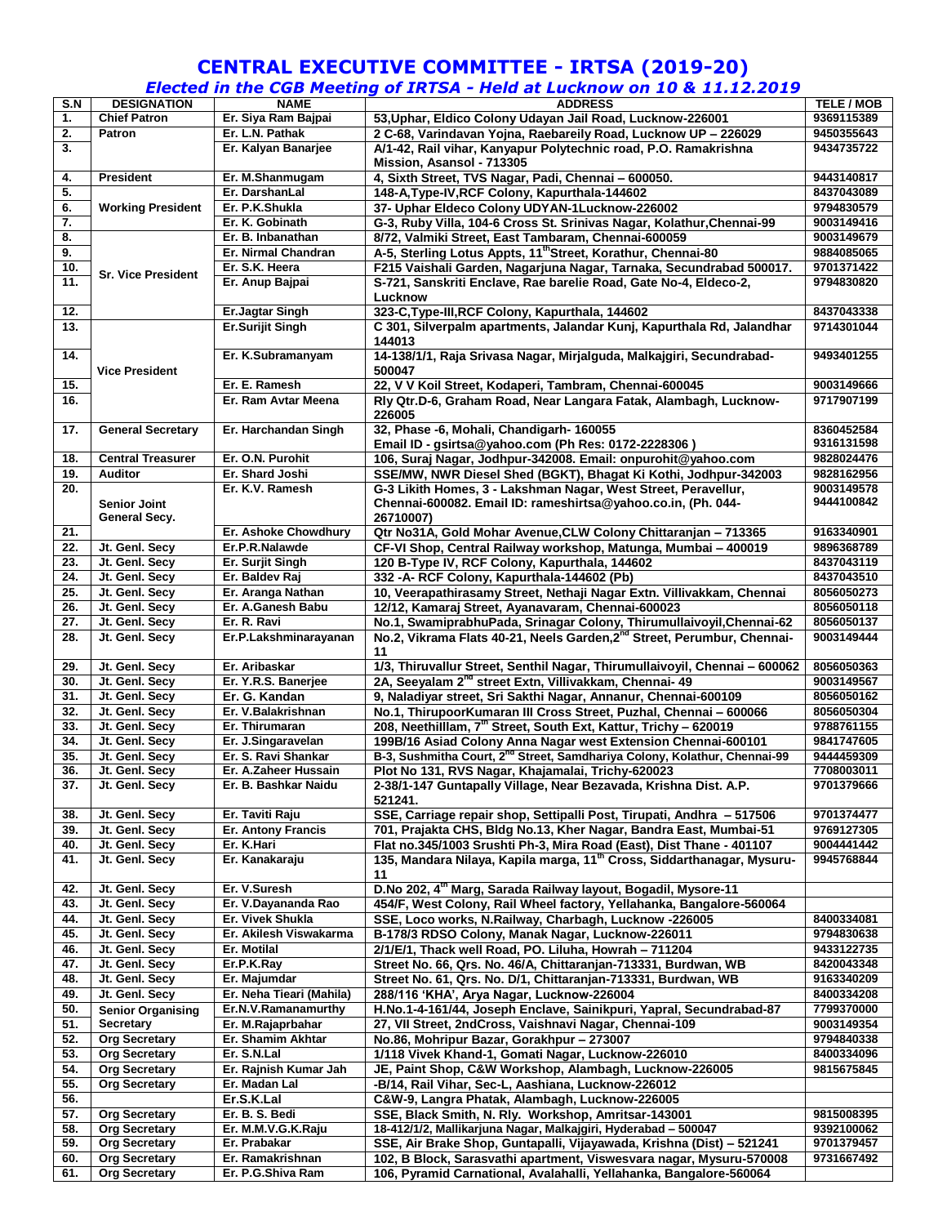## **CENTRAL EXECUTIVE COMMITTEE - IRTSA (2019-20)**

## *Elected in the CGB Meeting of IRTSA - Held at Lucknow on 10 & 11.12.2019*

| S.N | <b>DESIGNATION</b>        | <b>NAME</b>               | _______<br><b>ADDRESS</b>                                                             | <b>TELE / MOB</b>        |
|-----|---------------------------|---------------------------|---------------------------------------------------------------------------------------|--------------------------|
| 1.  | <b>Chief Patron</b>       | Er. Siya Ram Bajpai       | 53, Uphar, Eldico Colony Udayan Jail Road, Lucknow-226001                             | 9369115389               |
| 2.  | <b>Patron</b>             | Er. L.N. Pathak           | 2 C-68, Varindavan Yojna, Raebareily Road, Lucknow UP - 226029                        | 9450355643               |
| 3.  |                           | Er. Kalyan Banarjee       | A/1-42, Rail vihar, Kanyapur Polytechnic road, P.O. Ramakrishna                       | 9434735722               |
|     |                           |                           | Mission, Asansol - 713305                                                             |                          |
| 4.  | <b>President</b>          | Er. M.Shanmugam           | 4, Sixth Street, TVS Nagar, Padi, Chennai - 600050.                                   | 9443140817               |
| 5.  |                           | Er. DarshanLal            | 148-A, Type-IV, RCF Colony, Kapurthala-144602                                         | 8437043089               |
| 6.  | <b>Working President</b>  | Er. P.K.Shukla            | 37- Uphar Eldeco Colony UDYAN-1Lucknow-226002                                         | 9794830579               |
| 7.  |                           | Er. K. Gobinath           | G-3, Ruby Villa, 104-6 Cross St. Srinivas Nagar, Kolathur, Chennai-99                 | 9003149416               |
| 8.  |                           | Er. B. Inbanathan         | 8/72, Valmiki Street, East Tambaram, Chennai-600059                                   | 9003149679               |
| 9.  |                           | Er. Nirmal Chandran       | A-5, Sterling Lotus Appts, 11"Street, Korathur, Chennai-80                            | 9884085065               |
| 10. |                           | Er. S.K. Heera            | F215 Vaishali Garden, Nagarjuna Nagar, Tarnaka, Secundrabad 500017.                   | 9701371422               |
| 11. | <b>Sr. Vice President</b> | Er. Anup Bajpai           | S-721, Sanskriti Enclave, Rae barelie Road, Gate No-4, Eldeco-2,                      | 9794830820               |
|     |                           |                           | Lucknow                                                                               |                          |
| 12. |                           | <b>Er.Jagtar Singh</b>    | 323-C, Type-III, RCF Colony, Kapurthala, 144602                                       | 8437043338               |
| 13. |                           | Er.Surijit Singh          | C 301, Silverpalm apartments, Jalandar Kunj, Kapurthala Rd, Jalandhar                 | 9714301044               |
|     |                           |                           | 144013                                                                                |                          |
| 14. |                           | Er. K.Subramanyam         | 14-138/1/1, Raja Srivasa Nagar, Mirjalguda, Malkajgiri, Secundrabad-                  | 9493401255               |
|     | <b>Vice President</b>     |                           | 500047                                                                                |                          |
| 15. |                           | Er. E. Ramesh             | 22, V V Koil Street, Kodaperi, Tambram, Chennai-600045                                | 9003149666               |
| 16. |                           | Er. Ram Avtar Meena       | Rly Qtr.D-6, Graham Road, Near Langara Fatak, Alambagh, Lucknow-                      | 9717907199               |
|     |                           |                           | 226005                                                                                |                          |
|     | <b>General Secretary</b>  | Er. Harchandan Singh      |                                                                                       |                          |
| 17. |                           |                           | 32, Phase -6, Mohali, Chandigarh- 160055                                              | 8360452584<br>9316131598 |
|     |                           | Er. O.N. Purohit          | Email ID - gsirtsa@yahoo.com (Ph Res: 0172-2228306)                                   |                          |
| 18. | <b>Central Treasurer</b>  |                           | 106, Suraj Nagar, Jodhpur-342008. Email: onpurohit@yahoo.com                          | 9828024476               |
| 19. | <b>Auditor</b>            | Er. Shard Joshi           | SSE/MW, NWR Diesel Shed (BGKT), Bhagat Ki Kothi, Jodhpur-342003                       | 9828162956               |
| 20. |                           | Er. K.V. Ramesh           | G-3 Likith Homes, 3 - Lakshman Nagar, West Street, Peravellur,                        | 9003149578               |
|     | <b>Senior Joint</b>       |                           | Chennai-600082. Email ID: rameshirtsa@yahoo.co.in, (Ph. 044-                          | 9444100842               |
|     | General Secy.             |                           | 26710007)                                                                             |                          |
| 21. |                           | Er. Ashoke Chowdhury      | Qtr No31A, Gold Mohar Avenue, CLW Colony Chittaranjan - 713365                        | 9163340901               |
| 22. | Jt. Genl. Secy            | Er.P.R.Nalawde            | CF-VI Shop, Central Railway workshop, Matunga, Mumbai - 400019                        | 9896368789               |
| 23. | Jt. Genl. Secy            | Er. Surjit Singh          | 120 B-Type IV, RCF Colony, Kapurthala, 144602                                         | 8437043119               |
| 24. | Jt. Genl. Secy            | Er. Baldev Raj            | 332 - A- RCF Colony, Kapurthala-144602 (Pb)                                           | 8437043510               |
| 25. | Jt. Genl. Secy            | Er. Aranga Nathan         | 10, Veerapathirasamy Street, Nethaji Nagar Extn. Villivakkam, Chennai                 | 8056050273               |
| 26. | Jt. Genl. Secy            | Er. A.Ganesh Babu         | 12/12, Kamaraj Street, Ayanavaram, Chennai-600023                                     | 8056050118               |
| 27. | Jt. Genl. Secy            | Er. R. Ravi               | No.1, SwamiprabhuPada, Srinagar Colony, Thirumullaivoyil, Chennai-62                  | 8056050137               |
| 28. | Jt. Genl. Secy            | Er.P.Lakshminarayanan     | No.2, Vikrama Flats 40-21, Neels Garden, 2 <sup>nd</sup> Street, Perumbur, Chennai-   | 9003149444               |
|     |                           |                           | 11                                                                                    |                          |
| 29. | Jt. Genl. Secy            | Er. Aribaskar             | 1/3, Thiruvallur Street, Senthil Nagar, Thirumullaivoyil, Chennai - 600062            | 8056050363               |
| 30. | Jt. Genl. Secy            | Er. Y.R.S. Banerjee       | 2A, Seeyalam 2 <sup>nd</sup> street Extn, Villivakkam, Chennai- 49                    | 9003149567               |
| 31. | Jt. Genl. Secy            | Er. G. Kandan             | 9, Naladiyar street, Sri Sakthi Nagar, Annanur, Chennai-600109                        | 8056050162               |
| 32. | Jt. Genl. Secy            | Er. V.Balakrishnan        | No.1, ThirupoorKumaran III Cross Street, Puzhal, Chennai - 600066                     | 8056050304               |
| 33. | Jt. Genl. Secy            | Er. Thirumaran            | 208, Neethilllam, 7 <sup>th</sup> Street, South Ext, Kattur, Trichy - 620019          | 9788761155               |
| 34. | Jt. Genl. Secy            | Er. J.Singaravelan        | 199B/16 Asiad Colony Anna Nagar west Extension Chennai-600101                         | 9841747605               |
| 35. | Jt. Genl. Secy            | Er. S. Ravi Shankar       | B-3, Sushmitha Court, 2 <sup>nd</sup> Street, Samdhariya Colony, Kolathur, Chennai-99 | 9444459309               |
| 36. | Jt. Genl. Secy            | Er. A.Zaheer Hussain      | Plot No 131, RVS Nagar, Khajamalai, Trichy-620023                                     | 7708003011               |
| 37. | Jt. Genl. Secy            | Er. B. Bashkar Naidu      | 2-38/1-147 Guntapally Village, Near Bezavada, Krishna Dist. A.P.                      | 9701379666               |
|     |                           |                           | 521241.                                                                               |                          |
| 38. | Jt. Genl. Secy            | Er. Taviti Raju           | SSE, Carriage repair shop, Settipalli Post, Tirupati, Andhra - 517506                 | 9701374477               |
| 39. | Jt. Genl. Secv            | <b>Er. Antony Francis</b> | 701, Prajakta CHS, Bldg No.13, Kher Nagar, Bandra East, Mumbai-51                     | 9769127305               |
| 40. | Jt. Genl. Secy            | Er. K.Hari                | Flat no.345/1003 Srushti Ph-3, Mira Road (East), Dist Thane - 401107                  | 9004441442               |
| 41. | Jt. Genl. Secy            | Er. Kanakaraju            | 135, Mandara Nilaya, Kapila marga, 11 <sup>th</sup> Cross, Siddarthanagar, Mysuru-    | 9945768844               |
|     |                           |                           | 11                                                                                    |                          |
| 42. | Jt. Genl. Secy            | Er. V.Suresh              | D.No 202, 4 <sup>th</sup> Marg, Sarada Railway layout, Bogadil, Mysore-11             |                          |
| 43. | Jt. Genl. Secy            | Er. V.Dayananda Rao       | 454/F, West Colony, Rail Wheel factory, Yellahanka, Bangalore-560064                  |                          |
| 44. | Jt. Genl. Secy            | Er. Vivek Shukla          | SSE, Loco works, N.Railway, Charbagh, Lucknow -226005                                 | 8400334081               |
| 45. | Jt. Genl. Secy            | Er. Akilesh Viswakarma    | B-178/3 RDSO Colony, Manak Nagar, Lucknow-226011                                      | 9794830638               |
| 46. | Jt. Genl. Secy            | Er. Motilal               | 2/1/E/1, Thack well Road, PO. Liluha, Howrah - 711204                                 | 9433122735               |
| 47. | Jt. Genl. Secy            | Er.P.K.Ray                | Street No. 66, Qrs. No. 46/A, Chittaranjan-713331, Burdwan, WB                        | 8420043348               |
|     |                           |                           |                                                                                       | 9163340209               |
| 48. | Jt. Genl. Secy            | Er. Majumdar              | Street No. 61, Qrs. No. D/1, Chittaranjan-713331, Burdwan, WB                         |                          |
| 49. | Jt. Genl. Secy            | Er. Neha Tieari (Mahila)  | 288/116 'KHA', Arya Nagar, Lucknow-226004                                             | 8400334208               |
| 50. | <b>Senior Organising</b>  | Er.N.V.Ramanamurthy       | H.No.1-4-161/44, Joseph Enclave, Sainikpuri, Yapral, Secundrabad-87                   | 7799370000               |
| 51. | <b>Secretary</b>          | Er. M.Rajaprbahar         | 27, VII Street, 2ndCross, Vaishnavi Nagar, Chennai-109                                | 9003149354               |
| 52. | <b>Org Secretary</b>      | Er. Shamim Akhtar         | No.86, Mohripur Bazar, Gorakhpur - 273007                                             | 9794840338               |
| 53. | <b>Org Secretary</b>      | Er. S.N.Lal               | 1/118 Vivek Khand-1, Gomati Nagar, Lucknow-226010                                     | 8400334096               |
| 54. | <b>Org Secretary</b>      | Er. Rajnish Kumar Jah     | JE, Paint Shop, C&W Workshop, Alambagh, Lucknow-226005                                | 9815675845               |
| 55. | <b>Org Secretary</b>      | Er. Madan Lal             | -B/14, Rail Vihar, Sec-L, Aashiana, Lucknow-226012                                    |                          |
| 56. |                           | Er.S.K.Lal                | C&W-9, Langra Phatak, Alambagh, Lucknow-226005                                        |                          |
| 57. | <b>Org Secretary</b>      | Er. B. S. Bedi            | SSE, Black Smith, N. Rly. Workshop, Amritsar-143001                                   | 9815008395               |
| 58. | <b>Org Secretary</b>      | Er. M.M.V.G.K.Raju        | 18-412/1/2, Mallikarjuna Nagar, Malkajgiri, Hyderabad - 500047                        | 9392100062               |
| 59. | <b>Org Secretary</b>      | Er. Prabakar              | SSE, Air Brake Shop, Guntapalli, Vijayawada, Krishna (Dist) - 521241                  | 9701379457               |
| 60. | <b>Org Secretary</b>      | Er. Ramakrishnan          | 102, B Block, Sarasvathi apartment, Viswesvara nagar, Mysuru-570008                   | 9731667492               |
| 61. | <b>Org Secretary</b>      | Er. P.G.Shiva Ram         | 106, Pyramid Carnational, Avalahalli, Yellahanka, Bangalore-560064                    |                          |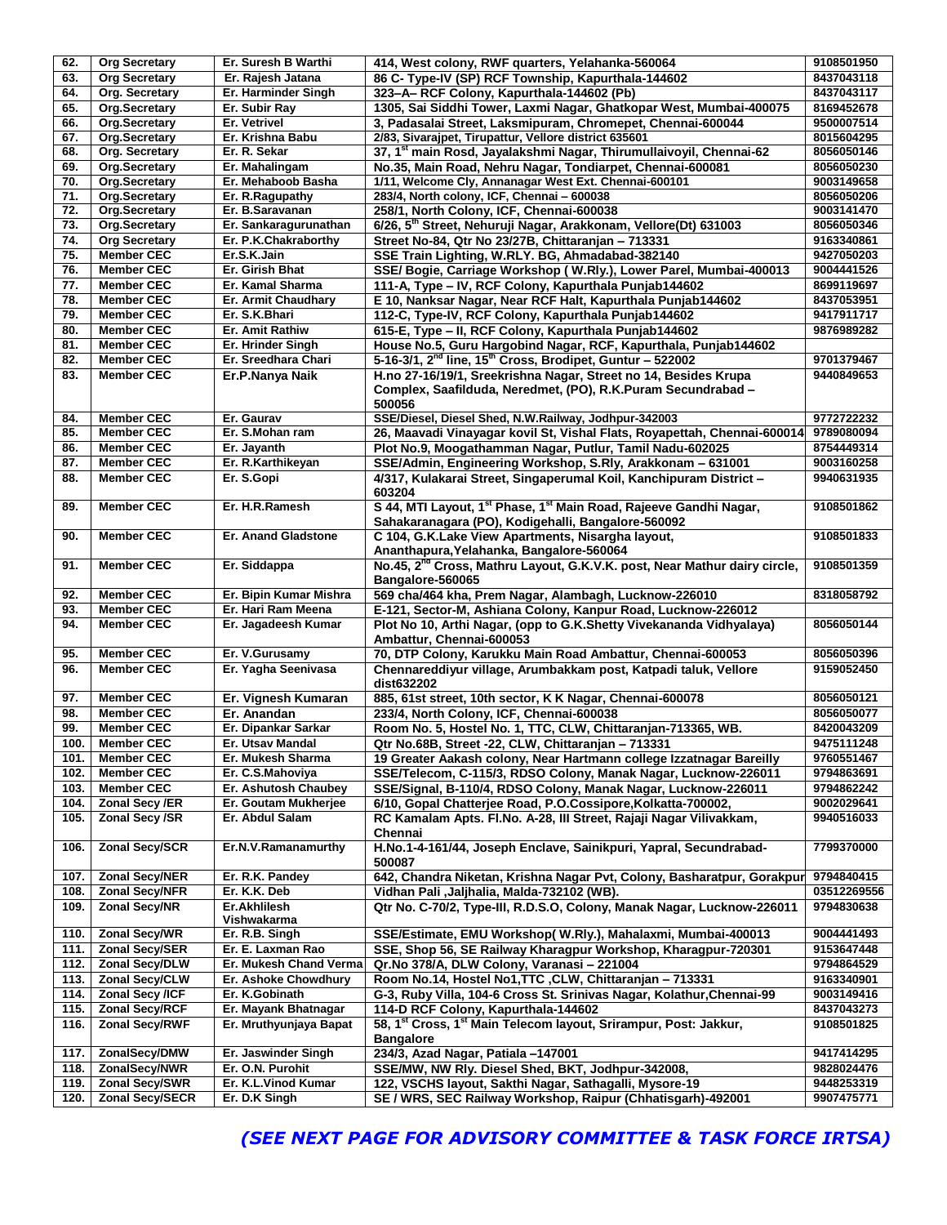| 62.          | <b>Org Secretary</b>                     | Er. Suresh B Warthi                   | 414, West colony, RWF quarters, Yelahanka-560064                                                                                                | 9108501950               |
|--------------|------------------------------------------|---------------------------------------|-------------------------------------------------------------------------------------------------------------------------------------------------|--------------------------|
| 63.          | <b>Org Secretary</b>                     | Er. Rajesh Jatana                     | 86 C- Type-IV (SP) RCF Township, Kapurthala-144602                                                                                              | 8437043118               |
| 64.          | Org. Secretary                           | Er. Harminder Singh                   | 323-A-RCF Colony, Kapurthala-144602 (Pb)                                                                                                        | 8437043117               |
| 65.          | Org.Secretary                            | Er. Subir Ray                         | 1305, Sai Siddhi Tower, Laxmi Nagar, Ghatkopar West, Mumbai-400075                                                                              | 8169452678               |
| 66.          | Org.Secretary                            | Er. Vetrivel                          | 3, Padasalai Street, Laksmipuram, Chromepet, Chennai-600044                                                                                     | 9500007514               |
| 67.          | Org.Secretary                            | Er. Krishna Babu                      | 2/83, Sivarajpet, Tirupattur, Vellore district 635601                                                                                           | 8015604295               |
| 68.          | Org. Secretary                           | Er. R. Sekar                          | 37, 1 <sup>st</sup> main Rosd, Jayalakshmi Nagar, Thirumullaivoyil, Chennai-62                                                                  | 8056050146               |
| 69.          | Org.Secretary                            | Er. Mahalingam                        | No.35, Main Road, Nehru Nagar, Tondiarpet, Chennai-600081                                                                                       | 8056050230               |
|              |                                          |                                       |                                                                                                                                                 |                          |
| 70.          | Org.Secretary                            | Er. Mehaboob Basha                    | 1/11, Welcome Cly, Annanagar West Ext. Chennai-600101                                                                                           | 9003149658               |
| 71.          | Org.Secretary                            | Er. R. Ragupathy                      | 283/4, North colony, ICF, Chennai - 600038                                                                                                      | 8056050206               |
| 72.          | Org.Secretary                            | Er. B.Saravanan                       | 258/1, North Colony, ICF, Chennai-600038                                                                                                        | 9003141470               |
| 73.          | Org.Secretary                            | Er. Sankaragurunathan                 | 6/26, 5th Street, Nehuruji Nagar, Arakkonam, Vellore(Dt) 631003                                                                                 | 8056050346               |
| 74.          | <b>Org Secretary</b>                     | Er. P.K.Chakraborthy                  | Street No-84, Qtr No 23/27B, Chittaranjan - 713331                                                                                              | 9163340861               |
| 75.          | <b>Member CEC</b>                        | Er.S.K.Jain                           | SSE Train Lighting, W.RLY. BG, Ahmadabad-382140                                                                                                 | 9427050203               |
| 76.          | <b>Member CEC</b>                        | Er. Girish Bhat                       | SSE/ Bogie, Carriage Workshop (W.Rly.), Lower Parel, Mumbai-400013                                                                              | 9004441526               |
| 77.          | <b>Member CEC</b>                        | Er. Kamal Sharma                      | 111-A, Type - IV, RCF Colony, Kapurthala Punjab144602                                                                                           | 8699119697               |
| 78.          | <b>Member CEC</b>                        | Er. Armit Chaudhary                   | E 10, Nanksar Nagar, Near RCF Halt, Kapurthala Punjab144602                                                                                     | 8437053951               |
| 79.          | <b>Member CEC</b>                        | Er. S.K.Bhari                         | 112-C, Type-IV, RCF Colony, Kapurthala Punjab144602                                                                                             | 9417911717               |
| 80.          | <b>Member CEC</b>                        | <b>Er. Amit Rathiw</b>                | 615-E, Type - II, RCF Colony, Kapurthala Punjab144602                                                                                           | 9876989282               |
| 81.          | <b>Member CEC</b>                        | Er. Hrinder Singh                     | House No.5, Guru Hargobind Nagar, RCF, Kapurthala, Punjab144602                                                                                 |                          |
| 82.          | <b>Member CEC</b>                        | Er. Sreedhara Chari                   | 5-16-3/1, 2 <sup>nd</sup> line, 15 <sup>th</sup> Cross, Brodipet, Guntur - 522002                                                               | 9701379467               |
|              |                                          |                                       |                                                                                                                                                 |                          |
| 83.          | <b>Member CEC</b>                        | Er.P.Nanya Naik                       | H.no 27-16/19/1, Sreekrishna Nagar, Street no 14, Besides Krupa<br>Complex, Saafilduda, Neredmet, (PO), R.K.Puram Secundrabad -<br>500056       | 9440849653               |
| 84.          | <b>Member CEC</b>                        | Er. Gaurav                            | SSE/Diesel, Diesel Shed, N.W.Railway, Jodhpur-342003                                                                                            | 9772722232               |
| 85.          | <b>Member CEC</b>                        | Er. S.Mohan ram                       | 26, Maavadi Vinayagar kovil St, Vishal Flats, Royapettah, Chennai-600014                                                                        | 9789080094               |
| 86.          | <b>Member CEC</b>                        | Er. Jayanth                           | Plot No.9, Moogathamman Nagar, Putlur, Tamil Nadu-602025                                                                                        | 8754449314               |
| 87.          | <b>Member CEC</b>                        | Er. R.Karthikeyan                     | SSE/Admin, Engineering Workshop, S.Rly, Arakkonam - 631001                                                                                      | 9003160258               |
| 88.          | <b>Member CEC</b>                        | Er. S.Gopi                            | 4/317, Kulakarai Street, Singaperumal Koil, Kanchipuram District -<br>603204                                                                    | 9940631935               |
| 89.          | <b>Member CEC</b>                        | Er. H.R.Ramesh                        | S 44, MTI Layout, 1 <sup>st</sup> Phase, 1 <sup>st</sup> Main Road, Rajeeve Gandhi Nagar,<br>Sahakaranagara (PO), Kodigehalli, Bangalore-560092 | 9108501862               |
| 90.          | <b>Member CEC</b>                        | <b>Er. Anand Gladstone</b>            | C 104, G.K.Lake View Apartments, Nisargha layout,<br>Ananthapura, Yelahanka, Bangalore-560064                                                   | 9108501833               |
| 91.          | <b>Member CEC</b>                        | Er. Siddappa                          | No.45, 2 <sup>nd</sup> Cross, Mathru Layout, G.K.V.K. post, Near Mathur dairy circle,<br>Bangalore-560065                                       | 9108501359               |
| 92.          | <b>Member CEC</b>                        | Er. Bipin Kumar Mishra                | 569 cha/464 kha, Prem Nagar, Alambagh, Lucknow-226010                                                                                           | 8318058792               |
| 93.          | <b>Member CEC</b>                        | Er. Hari Ram Meena                    | E-121, Sector-M, Ashiana Colony, Kanpur Road, Lucknow-226012                                                                                    |                          |
| 94.          | <b>Member CEC</b>                        | Er. Jagadeesh Kumar                   | Plot No 10, Arthi Nagar, (opp to G.K.Shetty Vivekananda Vidhyalaya)<br>Ambattur, Chennai-600053                                                 | 8056050144               |
|              |                                          |                                       |                                                                                                                                                 |                          |
| 95.          | <b>Member CEC</b>                        | Er. V.Gurusamy                        | 70, DTP Colony, Karukku Main Road Ambattur, Chennai-600053                                                                                      | 8056050396               |
| 96.          | <b>Member CEC</b>                        | Er. Yagha Seenivasa                   | Chennareddiyur village, Arumbakkam post, Katpadi taluk, Vellore                                                                                 | 9159052450               |
|              |                                          |                                       | dist632202                                                                                                                                      |                          |
| 97.          | <b>Member CEC</b>                        | Er. Vignesh Kumaran                   | 885, 61st street, 10th sector, K K Nagar, Chennai-600078                                                                                        | 8056050121               |
| 98.          | <b>Member CEC</b>                        | Er. Anandan                           | 233/4, North Colony, ICF, Chennai-600038                                                                                                        | 8056050077               |
| 99.          | <b>Member CEC</b>                        | Er. Dipankar Sarkar                   | Room No. 5, Hostel No. 1, TTC, CLW, Chittaranjan-713365, WB.                                                                                    | 8420043209               |
| 100.         | <b>Member CEC</b>                        | Er. Utsav Mandal                      | Qtr No.68B, Street -22, CLW, Chittaranjan - 713331                                                                                              | 9475111248               |
| 101.         | <b>Member CEC</b>                        | Er. Mukesh Sharma                     | 19 Greater Aakash colony, Near Hartmann college Izzatnagar Bareilly                                                                             | 9760551467               |
| 102.         | <b>Member CEC</b>                        | Er. C.S.Mahoviya                      | SSE/Telecom, C-115/3, RDSO Colony, Manak Nagar, Lucknow-226011                                                                                  | 9794863691               |
| 103.         | <b>Member CEC</b>                        | Er. Ashutosh Chaubey                  | SSE/Signal, B-110/4, RDSO Colony, Manak Nagar, Lucknow-226011                                                                                   | 9794862242               |
| 104.         | Zonal Secy /ER                           | Er. Goutam Mukherjee                  | 6/10, Gopal Chatterjee Road, P.O.Cossipore, Kolkatta-700002,                                                                                    | 9002029641               |
| 105.         | Zonal Secy /SR                           | Er. Abdul Salam                       | RC Kamalam Apts. Fl.No. A-28, III Street, Rajaji Nagar Vilivakkam,<br>Chennai                                                                   | 9940516033               |
| 106.         | <b>Zonal Secy/SCR</b>                    | Er.N.V.Ramanamurthy                   | H.No.1-4-161/44, Joseph Enclave, Sainikpuri, Yapral, Secundrabad-<br>500087                                                                     | 7799370000               |
| 107.         | <b>Zonal Secy/NER</b>                    | Er. R.K. Pandey                       | 642, Chandra Niketan, Krishna Nagar Pvt, Colony, Basharatpur, Gorakpur                                                                          | 9794840415               |
| 108.         | <b>Zonal Secy/NFR</b>                    | Er. K.K. Deb                          | Vidhan Pali , Jaljhalia, Malda-732102 (WB).                                                                                                     | 03512269556              |
| 109.         | <b>Zonal Secy/NR</b>                     | Er.Akhlilesh<br>Vishwakarma           | Qtr No. C-70/2, Type-III, R.D.S.O, Colony, Manak Nagar, Lucknow-226011                                                                          | 9794830638               |
| 110.         | Zonal Secy/WR                            | Er. R.B. Singh                        | SSE/Estimate, EMU Workshop(W.Rly.), Mahalaxmi, Mumbai-400013                                                                                    | 9004441493               |
| 111.         | <b>Zonal Secy/SER</b>                    | Er. E. Laxman Rao                     | SSE, Shop 56, SE Railway Kharagpur Workshop, Kharagpur-720301                                                                                   | 9153647448               |
| 112.         | Zonal Secy/DLW                           | Er. Mukesh Chand Verma                |                                                                                                                                                 | 9794864529               |
|              |                                          |                                       | Qr.No 378/A, DLW Colony, Varanasi - 221004                                                                                                      |                          |
| 113.         | <b>Zonal Secy/CLW</b>                    | Er. Ashoke Chowdhury                  | Room No.14, Hostel No1, TTC, CLW, Chittaranjan - 713331                                                                                         | 9163340901               |
| 114.         | Zonal Secy /ICF                          | Er. K.Gobinath                        | G-3, Ruby Villa, 104-6 Cross St. Srinivas Nagar, Kolathur, Chennai-99                                                                           | 9003149416               |
| 115.         | <b>Zonal Secy/RCF</b>                    | Er. Mayank Bhatnagar                  | 114-D RCF Colony, Kapurthala-144602                                                                                                             | 8437043273               |
| 116.         | Zonal Secy/RWF                           | Er. Mruthyunjaya Bapat                | 58, 1st Cross, 1st Main Telecom layout, Srirampur, Post: Jakkur,                                                                                | 9108501825               |
|              |                                          |                                       | <b>Bangalore</b>                                                                                                                                |                          |
| 117.         | ZonalSecy/DMW                            | Er. Jaswinder Singh                   | 234/3, Azad Nagar, Patiala -147001                                                                                                              | 9417414295               |
| 118.         | ZonalSecy/NWR                            | Er. O.N. Purohit                      | SSE/MW, NW Rly. Diesel Shed, BKT, Jodhpur-342008,                                                                                               | 9828024476               |
| 119.<br>120. | <b>Zonal Secy/SWR</b><br>Zonal Secy/SECR | Er. K.L. Vinod Kumar<br>Er. D.K Singh | 122, VSCHS layout, Sakthi Nagar, Sathagalli, Mysore-19<br>SE / WRS, SEC Railway Workshop, Raipur (Chhatisgarh)-492001                           | 9448253319<br>9907475771 |

*(SEE NEXT PAGE FOR ADVISORY COMMITTEE & TASK FORCE IRTSA)*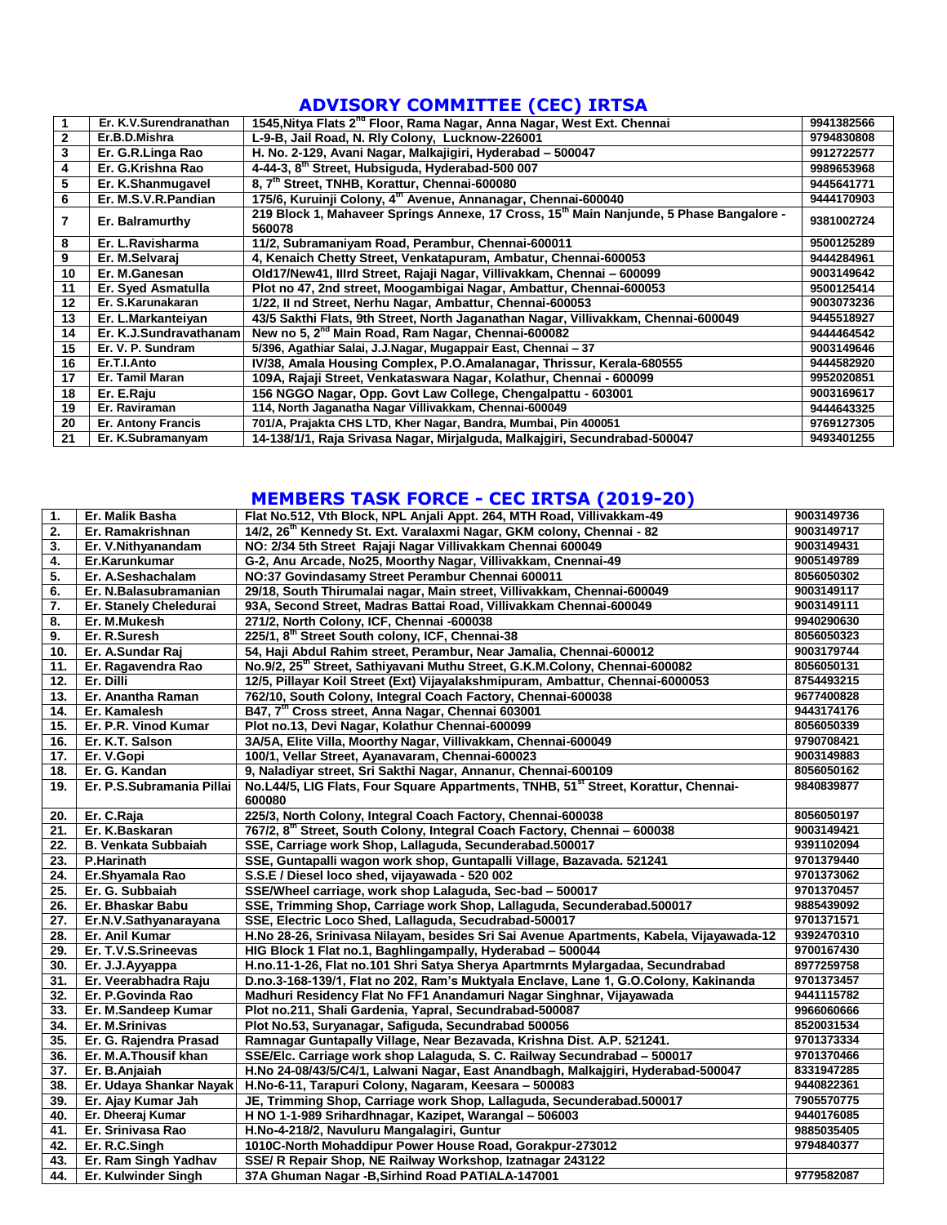## **ADVISORY COMMITTEE (CEC) IRTSA**

|    | Er. K.V.Surendranathan    | 1545, Nitya Flats 2 <sup>nd</sup> Floor, Rama Nagar, Anna Nagar, West Ext. Chennai                | 9941382566 |
|----|---------------------------|---------------------------------------------------------------------------------------------------|------------|
| 2  | Er.B.D.Mishra             | L-9-B, Jail Road, N. Rly Colony, Lucknow-226001                                                   | 9794830808 |
| 3  | Er. G.R.Linga Rao         | H. No. 2-129, Avani Nagar, Malkajigiri, Hyderabad - 500047                                        | 9912722577 |
| 4  | Er. G.Krishna Rao         | 4-44-3, 8 <sup>th</sup> Street, Hubsiguda, Hyderabad-500 007                                      | 9989653968 |
| 5  | Er. K.Shanmugavel         | 8, 7th Street, TNHB, Korattur, Chennai-600080                                                     | 9445641771 |
| 6  | Er. M.S.V.R.Pandian       | 175/6, Kuruinji Colony, 4 <sup>th</sup> Avenue, Annanagar, Chennai-600040                         | 9444170903 |
| 7  | Er. Balramurthy           | 219 Block 1, Mahaveer Springs Annexe, 17 Cross, 15th Main Nanjunde, 5 Phase Bangalore -<br>560078 | 9381002724 |
| 8  | Er. L.Ravisharma          | 11/2, Subramaniyam Road, Perambur, Chennai-600011                                                 | 9500125289 |
| 9  | Er. M.Selvarai            | 4, Kenaich Chetty Street, Venkatapuram, Ambatur, Chennai-600053                                   | 9444284961 |
| 10 | Er. M.Ganesan             | Old17/New41, Illrd Street, Rajaji Nagar, Villivakkam, Chennai - 600099                            | 9003149642 |
| 11 | Er. Syed Asmatulla        | Plot no 47, 2nd street, Moogambigai Nagar, Ambattur, Chennai-600053                               | 9500125414 |
| 12 | Er. S.Karunakaran         | 1/22, II nd Street, Nerhu Nagar, Ambattur, Chennai-600053                                         | 9003073236 |
| 13 | Er. L.Markanteiyan        | 43/5 Sakthi Flats, 9th Street, North Jaganathan Nagar, Villivakkam, Chennai-600049                | 9445518927 |
| 14 | Er. K.J.Sundravathanam    | New no 5, 2 <sup>nd</sup> Main Road, Ram Nagar, Chennai-600082                                    | 9444464542 |
| 15 | Er. V. P. Sundram         | 5/396, Agathiar Salai, J.J.Nagar, Mugappair East, Chennai - 37                                    | 9003149646 |
| 16 | Er.T.I.Anto               | IV/38, Amala Housing Complex, P.O.Amalanagar, Thrissur, Kerala-680555                             | 9444582920 |
| 17 | Er. Tamil Maran           | 109A, Rajaji Street, Venkataswara Nagar, Kolathur, Chennai - 600099                               | 9952020851 |
| 18 | Er. E.Raju                | 156 NGGO Nagar, Opp. Govt Law College, Chengalpattu - 603001                                      | 9003169617 |
| 19 | Er. Raviraman             | 114, North Jaganatha Nagar Villivakkam, Chennai-600049                                            | 9444643325 |
| 20 | <b>Er. Antony Francis</b> | 701/A, Prajakta CHS LTD, Kher Nagar, Bandra, Mumbai, Pin 400051                                   | 9769127305 |
| 21 | Er. K.Subramanyam         | 14-138/1/1, Raja Srivasa Nagar, Mirjalguda, Malkajgiri, Secundrabad-500047                        | 9493401255 |

## **MEMBERS TASK FORCE - CEC IRTSA (2019-20)**

| 1.  | Er. Malik Basha            | Flat No.512, Vth Block, NPL Anjali Appt. 264, MTH Road, Villivakkam-49                          | 9003149736 |
|-----|----------------------------|-------------------------------------------------------------------------------------------------|------------|
| 2.  | Er. Ramakrishnan           | 14/2, 26 <sup>th</sup> Kennedy St. Ext. Varalaxmi Nagar, GKM colony, Chennai - 82               | 9003149717 |
| 3.  | Er. V. Nithyanandam        | NO: 2/34 5th Street Rajaji Nagar Villivakkam Chennai 600049                                     | 9003149431 |
| 4.  | Er.Karunkumar              | G-2, Anu Arcade, No25, Moorthy Nagar, Villivakkam, Cnennai-49                                   | 9005149789 |
| 5.  | Er. A.Seshachalam          | NO:37 Govindasamy Street Perambur Chennai 600011                                                | 8056050302 |
| 6.  | Er. N.Balasubramanian      | 29/18, South Thirumalai nagar, Main street, Villivakkam, Chennai-600049                         | 9003149117 |
| 7.  | Er. Stanely Cheledurai     | 93A, Second Street, Madras Battai Road, Villivakkam Chennai-600049                              | 9003149111 |
| 8.  | Er. M.Mukesh               | 271/2, North Colony, ICF, Chennai -600038                                                       | 9940290630 |
| 9.  | Er. R.Suresh               | 225/1, 8th Street South colony, ICF, Chennai-38                                                 | 8056050323 |
| 10. | Er. A.Sundar Raj           | 54, Haji Abdul Rahim street, Perambur, Near Jamalia, Chennai-600012                             | 9003179744 |
| 11. | Er. Ragavendra Rao         | No.9/2, 25 <sup>th</sup> Street, Sathiyavani Muthu Street, G.K.M.Colony, Chennai-600082         | 8056050131 |
| 12. | Er. Dilli                  | 12/5, Pillayar Koil Street (Ext) Vijayalakshmipuram, Ambattur, Chennai-6000053                  | 8754493215 |
| 13. | Er. Anantha Raman          | 762/10, South Colony, Integral Coach Factory, Chennai-600038                                    | 9677400828 |
| 14. | Er. Kamalesh               | B47, 7 <sup>th</sup> Cross street, Anna Nagar, Chennai 603001                                   | 9443174176 |
| 15. | Er. P.R. Vinod Kumar       | Plot no.13, Devi Nagar, Kolathur Chennai-600099                                                 | 8056050339 |
| 16. | Er. K.T. Salson            | 3A/5A, Elite Villa, Moorthy Nagar, Villivakkam, Chennai-600049                                  | 9790708421 |
| 17. | Er. V.Gopi                 | 100/1, Vellar Street, Ayanavaram, Chennai-600023                                                | 9003149883 |
| 18. | Er. G. Kandan              | 9, Naladiyar street, Sri Sakthi Nagar, Annanur, Chennai-600109                                  | 8056050162 |
| 19. | Er. P.S.Subramania Pillai  | No.L44/5, LIG Flats, Four Square Appartments, TNHB, 51 <sup>st</sup> Street, Korattur, Chennai- | 9840839877 |
|     |                            | 600080                                                                                          |            |
| 20. | Er. C.Raja                 | 225/3, North Colony, Integral Coach Factory, Chennai-600038                                     | 8056050197 |
| 21. | Er. K.Baskaran             | 767/2, 8 <sup>th</sup> Street, South Colony, Integral Coach Factory, Chennai - 600038           | 9003149421 |
| 22. | <b>B. Venkata Subbaiah</b> | SSE, Carriage work Shop, Lallaguda, Secunderabad.500017                                         | 9391102094 |
| 23. | P.Harinath                 | SSE, Guntapalli wagon work shop, Guntapalli Village, Bazavada. 521241                           | 9701379440 |
| 24. | Er.Shyamala Rao            | S.S.E / Diesel loco shed, vijayawada - 520 002                                                  | 9701373062 |
| 25. | Er. G. Subbaiah            | SSE/Wheel carriage, work shop Lalaguda, Sec-bad - 500017                                        | 9701370457 |
| 26. | Er. Bhaskar Babu           | SSE, Trimming Shop, Carriage work Shop, Lallaguda, Secunderabad.500017                          | 9885439092 |
| 27. | Er.N.V.Sathyanarayana      | SSE, Electric Loco Shed, Lallaguda, Secudrabad-500017                                           | 9701371571 |
| 28. | Er. Anil Kumar             | H.No 28-26, Srinivasa Nilayam, besides Sri Sai Avenue Apartments, Kabela, Vijayawada-12         | 9392470310 |
| 29. | Er. T.V.S.Srineevas        | HIG Block 1 Flat no.1, Baghlingampally, Hyderabad - 500044                                      | 9700167430 |
| 30. | Er. J.J.Ayyappa            | H.no.11-1-26, Flat no.101 Shri Satya Sherya Apartmrnts Mylargadaa, Secundrabad                  | 8977259758 |
| 31. | Er. Veerabhadra Raju       | D.no.3-168-139/1, Flat no 202, Ram's Muktyala Enclave, Lane 1, G.O.Colony, Kakinanda            | 9701373457 |
| 32. | Er. P.Govinda Rao          | Madhuri Residency Flat No FF1 Anandamuri Nagar Singhnar, Vijayawada                             | 9441115782 |
| 33. | Er. M.Sandeep Kumar        | Plot no.211, Shali Gardenia, Yapral, Secundrabad-500087                                         | 9966060666 |
| 34. | Er. M.Srinivas             | Plot No.53, Suryanagar, Safiguda, Secundrabad 500056                                            | 8520031534 |
| 35. | Er. G. Rajendra Prasad     | Ramnagar Guntapally Village, Near Bezavada, Krishna Dist. A.P. 521241.                          | 9701373334 |
| 36. | Er. M.A.Thousif khan       | SSE/Elc. Carriage work shop Lalaguda, S. C. Railway Secundrabad - 500017                        | 9701370466 |
| 37. | Er. B.Anjaiah              | H.No 24-08/43/5/C4/1, Lalwani Nagar, East Anandbagh, Malkajgiri, Hyderabad-500047               | 8331947285 |
| 38. | Er. Udaya Shankar Nayak    | H.No-6-11, Tarapuri Colony, Nagaram, Keesara - 500083                                           | 9440822361 |
| 39. | Er. Ajay Kumar Jah         | JE, Trimming Shop, Carriage work Shop, Lallaguda, Secunderabad.500017                           | 7905570775 |
| 40. | Er. Dheeraj Kumar          | H NO 1-1-989 Srihardhnagar, Kazipet, Warangal - 506003                                          | 9440176085 |
| 41. | Er. Srinivasa Rao          | H.No-4-218/2, Navuluru Mangalagiri, Guntur                                                      | 9885035405 |
| 42. | Er. R.C.Singh              | 1010C-North Mohaddipur Power House Road, Gorakpur-273012                                        | 9794840377 |
| 43. | Er. Ram Singh Yadhav       | SSE/ R Repair Shop, NE Railway Workshop, Izatnagar 243122                                       |            |
| 44. | Er. Kulwinder Singh        | 37A Ghuman Nagar - B, Sirhind Road PATIALA-147001                                               | 9779582087 |